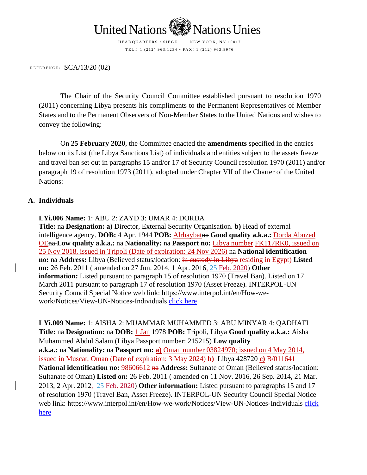

REFERENCE:  $SCA/13/20$  (02)

The Chair of the Security Council Committee established pursuant to resolution 1970 (2011) concerning Libya presents his compliments to the Permanent Representatives of Member States and to the Permanent Observers of Non-Member States to the United Nations and wishes to convey the following:

On **25 February 2020**, the Committee enacted the **amendments** specified in the entries below on its List (the Libya Sanctions List) of individuals and entities subject to the assets freeze and travel ban set out in paragraphs 15 and/or 17 of Security Council resolution 1970 (2011) and/or paragraph 19 of resolution 1973 (2011), adopted under Chapter VII of the Charter of the United Nations:

## **A. Individuals**

## **LYi.006 Name:** 1: ABU 2: ZAYD 3: UMAR 4: DORDA

**Title:** na **Designation: a)** Director, External Security Organisation. **b)** Head of external intelligence agency. **DOB:** 4 Apr. 1944 **POB:** Alrhaybatna **Good quality a.k.a.:** Dorda Abuzed OEna **Low quality a.k.a.:** na **Nationality:** na **Passport no:** Libya number FK117RK0, issued on 25 Nov 2018, issued in Tripoli (Date of expiration: 24 Nov 2026) na **National identification no:** na **Address:** Libya (Believed status/location: in custody in Libya residing in Egypt) Listed **on:** 26 Feb. 2011 ( amended on 27 Jun. 2014, 1 Apr. 2016, 25 Feb. 2020) **Other information:** Listed pursuant to paragraph 15 of resolution 1970 (Travel Ban). Listed on 17 March 2011 pursuant to paragraph 17 of resolution 1970 (Asset Freeze). INTERPOL-UN Security Council Special Notice web link: https://www.interpol.int/en/How-wework/Notices/View-UN-Notices-Individuals [click here](https://www.interpol.int/en/How-we-work/Notices/View-UN-Notices-Individuals)

**LYi.009 Name:** 1: AISHA 2: MUAMMAR MUHAMMED 3: ABU MINYAR 4: QADHAFI **Title:** na **Designation:** na **DOB:** 1 Jan 1978 **POB:** Tripoli, Libya **Good quality a.k.a.:** Aisha Muhammed Abdul Salam (Libya Passport number: 215215) **Low quality a.k.a.:** na **Nationality:** na **Passport no: a)** Oman number 03824970; issued on 4 May 2014, issued in Muscat, Oman (Date of expiration: 3 May 2024) **b)** Libya 428720 **c)** B/011641 National identification no: 98606612 na Address: Sultanate of Oman (Believed status/location: Sultanate of Oman) **Listed on:** 26 Feb. 2011 ( amended on 11 Nov. 2016, 26 Sep. 2014, 21 Mar. 2013, 2 Apr. 2012, 25 Feb. 2020) **Other information:** Listed pursuant to paragraphs 15 and 17 of resolution 1970 (Travel Ban, Asset Freeze). INTERPOL-UN Security Council Special Notice web link: https://www.interpol.int/en/How-we-work/Notices/View-UN-Notices-Individuals [click](https://www.interpol.int/en/How-we-work/Notices/View-UN-Notices-Individuals)  [here](https://www.interpol.int/en/How-we-work/Notices/View-UN-Notices-Individuals)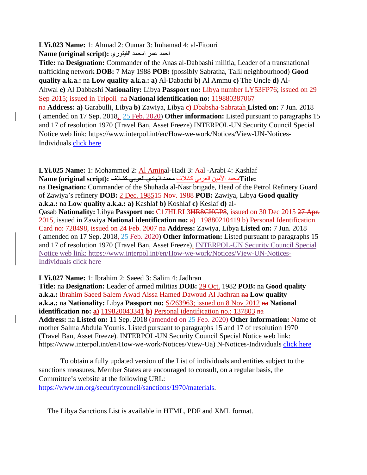## **LYi.023 Name:** 1: Ahmad 2: Oumar 3: Imhamad 4: al-Fitouri احمد عمر امحمد الفیتوري **:(script original (Name**

**Title:** na **Designation:** Commander of the Anas al-Dabbashi militia, Leader of a transnational trafficking network **DOB:** 7 May 1988 **POB:** (possibly Sabratha, Talil neighbourhood) **Good quality a.k.a.:** na **Low quality a.k.a.: a)** Al-Dabachi **b)** Al Ammu **c)** The Uncle **d)** Al-Ahwal **e)** Al Dabbashi **Nationality:** Libya **Passport no:** Libya number LY53FP76; issued on 29 Sep 2015; issued in Tripoli - na **National identification no:** 119880387067

na **Address: a)** Garabulli, Libya **b)** Zawiya, Libya **c)** Dbabsha-Sabratah **Listed on:** 7 Jun. 2018 ( amended on 17 Sep. 2018, 25 Feb. 2020) **Other information:** Listed pursuant to paragraphs 15 and 17 of resolution 1970 (Travel Ban, Asset Freeze) INTERPOL-UN Security Council Special Notice web link: https://www.interpol.int/en/How-we-work/Notices/View-UN-Notices-Individuals [click here](https://www.interpol.int/en/How-we-work/Notices/View-UN-Notices-Individuals)

**LYi.025 Name:** 1: Mohammed 2: Al Aminal-Hadi 3: Aal -Arabi 4: Kashlaf  **:Title**محمد الأمین العربي كشلاف محمد الھادي العربي كشلاف **:(script original (Name** na **Designation:** Commander of the Shuhada al-Nasr brigade, Head of the Petrol Refinery Guard of Zawiya's refinery **DOB:** 2 Dec. 198515 Nov. 1988 **POB:** Zawiya, Libya **Good quality a.k.a.:** na **Low quality a.k.a.: a)** Kashlaf **b)** Koshlaf **c)** Keslaf **d)** al-Qasab **Nationality:** Libya **Passport no:** C17HLRL3HR8CHGP8, issued on 30 Dec 2015 27 Apr. 2015, issued in Zawiya **National identification no:** a) 119880210419 b) Personal Identification Card no: 728498, issued on 24 Feb. 2007 na **Address:** Zawiya, Libya **Listed on:** 7 Jun. 2018 ( amended on 17 Sep. 2018, 25 Feb. 2020) **Other information:** Listed pursuant to paragraphs 15 and 17 of resolution 1970 (Travel Ban, Asset Freeze). INTERPOL-UN Security Council Special Notice web link: https://www.interpol.int/en/How-we-work/Notices/View-UN-Notices-Individuals [click here](https://www.interpol.int/en/How-we-work/Notices/View-UN-Notices-Individuals)

## **LYi.027 Name:** 1: Ibrahim 2: Saeed 3: Salim 4: Jadhran

**Title:** na **Designation:** Leader of armed militias **DOB:** 29 Oct. 1982 **POB:** na **Good quality**  a.k.a.: Ibrahim Saeed Salem Awad Aissa Hamed Dawoud Al Jadhran na Low quality **a.k.a.:** na **Nationality:** Libya **Passport no:** S/263963; issued on 8 Nov 2012 na **National identification no: a)** 119820043341 **b)** Personal identification no.: 137803 na **Address:** na **Listed on:** 11 Sep. 2018 (amended on 25 Feb. 2020) **Other information:** Name of mother Salma Abdula Younis. Listed pursuant to paragraphs 15 and 17 of resolution 1970 (Travel Ban, Asset Freeze). INTERPOL-UN Security Council Special Notice web link: https://www.interpol.int/en/How-we-work/Notices/View-Ua) N-Notices-Individuals [click here](https://www.interpol.int/en/How-we-work/Notices/View-UN-Notices-Individuals)

To obtain a fully updated version of the List of individuals and entities subject to the sanctions measures, Member States are encouraged to consult, on a regular basis, the Committee's website at the following URL: [https://www.un.org/securitycouncil/sanctions/1970/materials.](https://www.un.org/securitycouncil/sanctions/1970/materials)

The Libya Sanctions List is available in HTML, PDF and XML format.